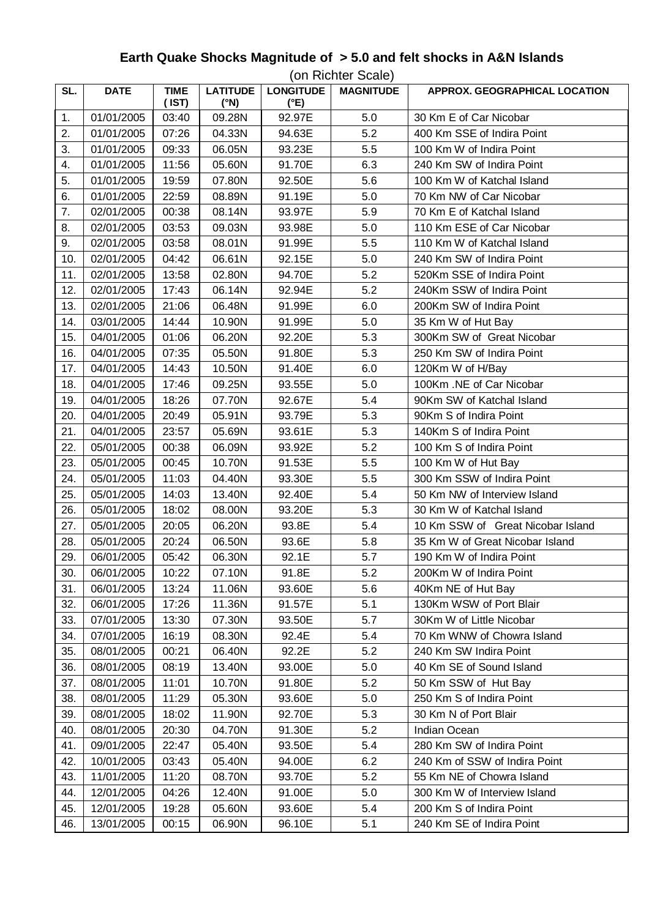## **Earth Quake Shocks Magnitude of > 5.0 and felt shocks in A&N Islands**

|     | (on Richter Scale) |                            |                         |                          |                  |                                   |  |
|-----|--------------------|----------------------------|-------------------------|--------------------------|------------------|-----------------------------------|--|
| SL. | <b>DATE</b>        | <b>TIME</b><br>$($ IST $)$ | <b>LATITUDE</b><br>(°N) | <b>LONGITUDE</b><br>(°E) | <b>MAGNITUDE</b> | APPROX. GEOGRAPHICAL LOCATION     |  |
| 1.  | 01/01/2005         | 03:40                      | 09.28N                  | 92.97E                   | 5.0              | 30 Km E of Car Nicobar            |  |
| 2.  | 01/01/2005         | 07:26                      | 04.33N                  | 94.63E                   | 5.2              | 400 Km SSE of Indira Point        |  |
| 3.  | 01/01/2005         | 09:33                      | 06.05N                  | 93.23E                   | 5.5              | 100 Km W of Indira Point          |  |
| 4.  | 01/01/2005         | 11:56                      | 05.60N                  | 91.70E                   | 6.3              | 240 Km SW of Indira Point         |  |
| 5.  | 01/01/2005         | 19:59                      | 07.80N                  | 92.50E                   | 5.6              | 100 Km W of Katchal Island        |  |
| 6.  | 01/01/2005         | 22:59                      | 08.89N                  | 91.19E                   | 5.0              | 70 Km NW of Car Nicobar           |  |
| 7.  | 02/01/2005         | 00:38                      | 08.14N                  | 93.97E                   | 5.9              | 70 Km E of Katchal Island         |  |
| 8.  | 02/01/2005         | 03:53                      | 09.03N                  | 93.98E                   | 5.0              | 110 Km ESE of Car Nicobar         |  |
| 9.  | 02/01/2005         | 03:58                      | 08.01N                  | 91.99E                   | 5.5              | 110 Km W of Katchal Island        |  |
| 10. | 02/01/2005         | 04:42                      | 06.61N                  | 92.15E                   | 5.0              | 240 Km SW of Indira Point         |  |
| 11. | 02/01/2005         | 13:58                      | 02.80N                  | 94.70E                   | 5.2              | 520Km SSE of Indira Point         |  |
| 12. | 02/01/2005         | 17:43                      | 06.14N                  | 92.94E                   | 5.2              | 240Km SSW of Indira Point         |  |
| 13. | 02/01/2005         | 21:06                      | 06.48N                  | 91.99E                   | 6.0              | 200Km SW of Indira Point          |  |
| 14. | 03/01/2005         | 14:44                      | 10.90N                  | 91.99E                   | 5.0              | 35 Km W of Hut Bay                |  |
| 15. | 04/01/2005         | 01:06                      | 06.20N                  | 92.20E                   | 5.3              | 300Km SW of Great Nicobar         |  |
| 16. | 04/01/2005         | 07:35                      | 05.50N                  | 91.80E                   | 5.3              | 250 Km SW of Indira Point         |  |
| 17. | 04/01/2005         | 14:43                      | 10.50N                  | 91.40E                   | 6.0              | 120Km W of H/Bay                  |  |
| 18. | 04/01/2005         | 17:46                      | 09.25N                  | 93.55E                   | 5.0              | 100Km .NE of Car Nicobar          |  |
| 19. | 04/01/2005         | 18:26                      | 07.70N                  | 92.67E                   | 5.4              | 90Km SW of Katchal Island         |  |
| 20. | 04/01/2005         | 20:49                      | 05.91N                  | 93.79E                   | 5.3              | 90Km S of Indira Point            |  |
| 21. | 04/01/2005         | 23:57                      | 05.69N                  | 93.61E                   | 5.3              | 140Km S of Indira Point           |  |
| 22. | 05/01/2005         | 00:38                      | 06.09N                  | 93.92E                   | 5.2              | 100 Km S of Indira Point          |  |
| 23. | 05/01/2005         | 00:45                      | 10.70N                  | 91.53E                   | 5.5              | 100 Km W of Hut Bay               |  |
| 24. | 05/01/2005         | 11:03                      | 04.40N                  | 93.30E                   | 5.5              | 300 Km SSW of Indira Point        |  |
| 25. | 05/01/2005         | 14:03                      | 13.40N                  | 92.40E                   | 5.4              | 50 Km NW of Interview Island      |  |
| 26. | 05/01/2005         | 18:02                      | 08.00N                  | 93.20E                   | 5.3              | 30 Km W of Katchal Island         |  |
| 27. | 05/01/2005         | 20:05                      | 06.20N                  | 93.8E                    | 5.4              | 10 Km SSW of Great Nicobar Island |  |
| 28. | 05/01/2005         | 20:24                      | 06.50N                  | 93.6E                    | 5.8              | 35 Km W of Great Nicobar Island   |  |
| 29. | 06/01/2005         | 05:42                      | 06.30N                  | 92.1E                    | 5.7              | 190 Km W of Indira Point          |  |
| 30. | 06/01/2005         | 10:22                      | 07.10N                  | 91.8E                    | 5.2              | 200Km W of Indira Point           |  |
| 31. | 06/01/2005         | 13:24                      | 11.06N                  | 93.60E                   | 5.6              | 40Km NE of Hut Bay                |  |
| 32. | 06/01/2005         | 17:26                      | 11.36N                  | 91.57E                   | 5.1              | 130Km WSW of Port Blair           |  |
| 33. | 07/01/2005         | 13:30                      | 07.30N                  | 93.50E                   | 5.7              | 30Km W of Little Nicobar          |  |
| 34. | 07/01/2005         | 16:19                      | 08.30N                  | 92.4E                    | 5.4              | 70 Km WNW of Chowra Island        |  |
| 35. | 08/01/2005         | 00:21                      | 06.40N                  | 92.2E                    | 5.2              | 240 Km SW Indira Point            |  |
| 36. | 08/01/2005         | 08:19                      | 13.40N                  | 93.00E                   | 5.0              | 40 Km SE of Sound Island          |  |
| 37. | 08/01/2005         | 11:01                      | 10.70N                  | 91.80E                   | 5.2              | 50 Km SSW of Hut Bay              |  |
| 38. | 08/01/2005         | 11:29                      | 05.30N                  | 93.60E                   | 5.0              | 250 Km S of Indira Point          |  |
| 39. | 08/01/2005         | 18:02                      | 11.90N                  | 92.70E                   | 5.3              | 30 Km N of Port Blair             |  |
| 40. | 08/01/2005         | 20:30                      | 04.70N                  | 91.30E                   | 5.2              | Indian Ocean                      |  |
| 41. | 09/01/2005         | 22:47                      | 05.40N                  | 93.50E                   | 5.4              | 280 Km SW of Indira Point         |  |
| 42. | 10/01/2005         | 03:43                      | 05.40N                  | 94.00E                   | 6.2              | 240 Km of SSW of Indira Point     |  |
| 43. | 11/01/2005         | 11:20                      | 08.70N                  | 93.70E                   | 5.2              | 55 Km NE of Chowra Island         |  |
| 44. | 12/01/2005         | 04:26                      | 12.40N                  | 91.00E                   | 5.0              | 300 Km W of Interview Island      |  |
| 45. | 12/01/2005         | 19:28                      | 05.60N                  | 93.60E                   | 5.4              | 200 Km S of Indira Point          |  |
| 46. | 13/01/2005         | 00:15                      | 06.90N                  | 96.10E                   | 5.1              | 240 Km SE of Indira Point         |  |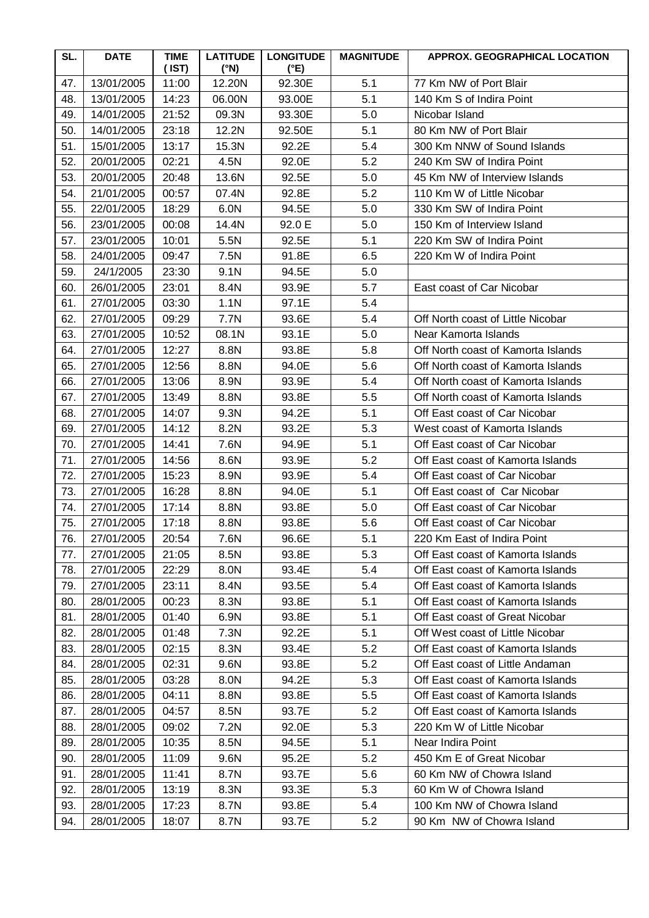| SL. | <b>DATE</b> | <b>TIME</b><br>$($ IST $)$ | <b>LATITUDE</b><br>$(^{\circ}N)$ | <b>LONGITUDE</b><br>$(^{\circ}E)$ | <b>MAGNITUDE</b> | APPROX. GEOGRAPHICAL LOCATION      |
|-----|-------------|----------------------------|----------------------------------|-----------------------------------|------------------|------------------------------------|
| 47. | 13/01/2005  | 11:00                      | 12.20N                           | 92.30E                            | 5.1              | 77 Km NW of Port Blair             |
| 48. | 13/01/2005  | 14:23                      | 06.00N                           | 93.00E                            | 5.1              | 140 Km S of Indira Point           |
| 49. | 14/01/2005  | 21:52                      | 09.3N                            | 93.30E                            | 5.0              | Nicobar Island                     |
| 50. | 14/01/2005  | 23:18                      | 12.2N                            | 92.50E                            | 5.1              | 80 Km NW of Port Blair             |
| 51. | 15/01/2005  | 13:17                      | 15.3N                            | 92.2E                             | 5.4              | 300 Km NNW of Sound Islands        |
| 52. | 20/01/2005  | 02:21                      | 4.5N                             | 92.0E                             | 5.2              | 240 Km SW of Indira Point          |
| 53. | 20/01/2005  | 20:48                      | 13.6N                            | 92.5E                             | 5.0              | 45 Km NW of Interview Islands      |
| 54. | 21/01/2005  | 00:57                      | 07.4N                            | 92.8E                             | 5.2              | 110 Km W of Little Nicobar         |
| 55. | 22/01/2005  | 18:29                      | 6.0N                             | 94.5E                             | 5.0              | 330 Km SW of Indira Point          |
| 56. | 23/01/2005  | 00:08                      | 14.4N                            | 92.0 E                            | 5.0              | 150 Km of Interview Island         |
| 57. | 23/01/2005  | 10:01                      | 5.5N                             | 92.5E                             | 5.1              | 220 Km SW of Indira Point          |
| 58. | 24/01/2005  | 09:47                      | 7.5N                             | 91.8E                             | 6.5              | 220 Km W of Indira Point           |
| 59. | 24/1/2005   | 23:30                      | 9.1N                             | 94.5E                             | 5.0              |                                    |
| 60. | 26/01/2005  | 23:01                      | 8.4N                             | 93.9E                             | 5.7              | East coast of Car Nicobar          |
| 61. | 27/01/2005  | 03:30                      | 1.1 <sub>N</sub>                 | 97.1E                             | 5.4              |                                    |
| 62. | 27/01/2005  | 09:29                      | 7.7N                             | 93.6E                             | 5.4              | Off North coast of Little Nicobar  |
| 63. | 27/01/2005  | 10:52                      | 08.1N                            | 93.1E                             | 5.0              | Near Kamorta Islands               |
| 64. | 27/01/2005  | 12:27                      | 8.8N                             | 93.8E                             | 5.8              | Off North coast of Kamorta Islands |
| 65. | 27/01/2005  | 12:56                      | 8.8N                             | 94.0E                             | 5.6              | Off North coast of Kamorta Islands |
| 66. | 27/01/2005  | 13:06                      | 8.9N                             | 93.9E                             | 5.4              | Off North coast of Kamorta Islands |
| 67. | 27/01/2005  | 13:49                      | 8.8N                             | 93.8E                             | 5.5              | Off North coast of Kamorta Islands |
| 68. | 27/01/2005  | 14:07                      | 9.3N                             | 94.2E                             | 5.1              | Off East coast of Car Nicobar      |
| 69. | 27/01/2005  | 14:12                      | 8.2N                             | 93.2E                             | 5.3              | West coast of Kamorta Islands      |
| 70. | 27/01/2005  | 14:41                      | 7.6N                             | 94.9E                             | 5.1              | Off East coast of Car Nicobar      |
| 71. | 27/01/2005  | 14:56                      | 8.6N                             | 93.9E                             | 5.2              | Off East coast of Kamorta Islands  |
| 72. | 27/01/2005  | 15:23                      | 8.9N                             | 93.9E                             | 5.4              | Off East coast of Car Nicobar      |
| 73. | 27/01/2005  | 16:28                      | 8.8N                             | 94.0E                             | 5.1              | Off East coast of Car Nicobar      |
| 74. | 27/01/2005  | 17:14                      | 8.8N                             | 93.8E                             | 5.0              | Off East coast of Car Nicobar      |
| 75. | 27/01/2005  | 17:18                      | 8.8N                             | 93.8E                             | 5.6              | Off East coast of Car Nicobar      |
| 76. | 27/01/2005  | 20:54                      | 7.6N                             | 96.6E                             | 5.1              | 220 Km East of Indira Point        |
| 77. | 27/01/2005  | 21:05                      | 8.5N                             | 93.8E                             | 5.3              | Off East coast of Kamorta Islands  |
| 78. | 27/01/2005  | 22:29                      | 8.0N                             | 93.4E                             | 5.4              | Off East coast of Kamorta Islands  |
| 79. | 27/01/2005  | 23:11                      | 8.4N                             | 93.5E                             | 5.4              | Off East coast of Kamorta Islands  |
| 80. | 28/01/2005  | 00:23                      | 8.3N                             | 93.8E                             | 5.1              | Off East coast of Kamorta Islands  |
| 81. | 28/01/2005  | 01:40                      | 6.9N                             | 93.8E                             | 5.1              | Off East coast of Great Nicobar    |
| 82. | 28/01/2005  | 01:48                      | 7.3N                             | 92.2E                             | 5.1              | Off West coast of Little Nicobar   |
| 83. | 28/01/2005  | 02:15                      | 8.3N                             | 93.4E                             | 5.2              | Off East coast of Kamorta Islands  |
| 84. | 28/01/2005  | 02:31                      | 9.6N                             | 93.8E                             | 5.2              | Off East coast of Little Andaman   |
| 85. | 28/01/2005  | 03:28                      | 8.0N                             | 94.2E                             | 5.3              | Off East coast of Kamorta Islands  |
| 86. | 28/01/2005  | 04:11                      | 8.8N                             | 93.8E                             | 5.5              | Off East coast of Kamorta Islands  |
| 87. | 28/01/2005  | 04:57                      | 8.5N                             | 93.7E                             | 5.2              | Off East coast of Kamorta Islands  |
| 88. | 28/01/2005  | 09:02                      | 7.2N                             | 92.0E                             | 5.3              | 220 Km W of Little Nicobar         |
| 89. | 28/01/2005  | 10:35                      | 8.5N                             | 94.5E                             | 5.1              | Near Indira Point                  |
| 90. | 28/01/2005  | 11:09                      | 9.6N                             | 95.2E                             | 5.2              | 450 Km E of Great Nicobar          |
| 91. | 28/01/2005  | 11:41                      | 8.7N                             | 93.7E                             | 5.6              | 60 Km NW of Chowra Island          |
| 92. | 28/01/2005  | 13:19                      | 8.3N                             | 93.3E                             | 5.3              | 60 Km W of Chowra Island           |
| 93. | 28/01/2005  | 17:23                      | 8.7N                             | 93.8E                             | 5.4              | 100 Km NW of Chowra Island         |
| 94. | 28/01/2005  | 18:07                      | 8.7N                             | 93.7E                             | 5.2              | 90 Km NW of Chowra Island          |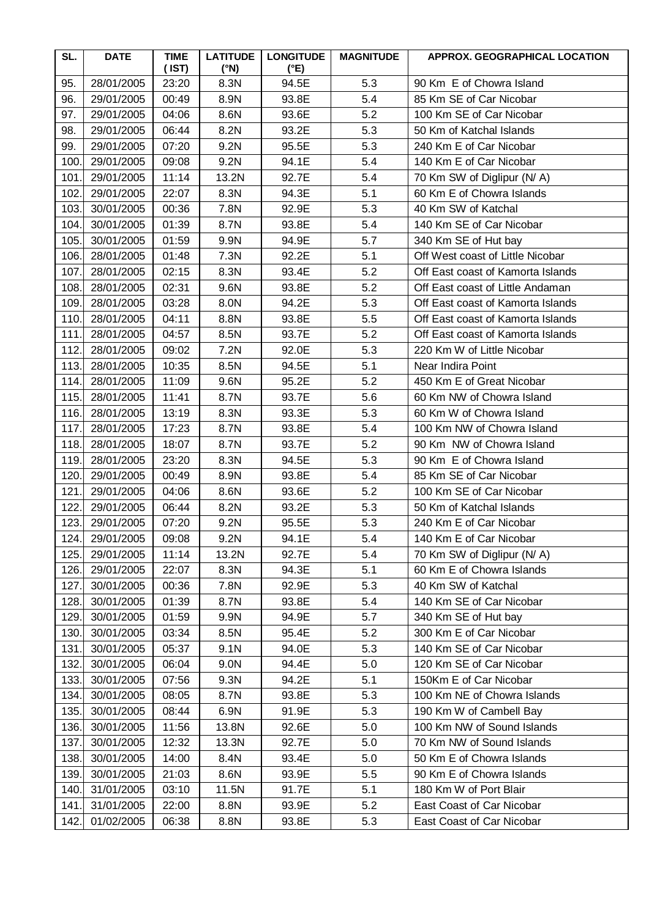| SL.  | <b>DATE</b> | <b>TIME</b><br>(IST) | <b>LATITUDE</b><br>$(^{\circ}N)$ | <b>LONGITUDE</b><br>(°E) | <b>MAGNITUDE</b> | APPROX. GEOGRAPHICAL LOCATION     |
|------|-------------|----------------------|----------------------------------|--------------------------|------------------|-----------------------------------|
| 95.  | 28/01/2005  | 23:20                | 8.3N                             | 94.5E                    | 5.3              | 90 Km E of Chowra Island          |
| 96.  | 29/01/2005  | 00:49                | 8.9N                             | 93.8E                    | 5.4              | 85 Km SE of Car Nicobar           |
| 97.  | 29/01/2005  | 04:06                | 8.6N                             | 93.6E                    | 5.2              | 100 Km SE of Car Nicobar          |
| 98.  | 29/01/2005  | 06:44                | 8.2N                             | 93.2E                    | 5.3              | 50 Km of Katchal Islands          |
| 99.  | 29/01/2005  | 07:20                | 9.2N                             | 95.5E                    | 5.3              | 240 Km E of Car Nicobar           |
| 100  | 29/01/2005  | 09:08                | 9.2N                             | 94.1E                    | 5.4              | 140 Km E of Car Nicobar           |
| 101  | 29/01/2005  | 11:14                | 13.2N                            | 92.7E                    | 5.4              | 70 Km SW of Diglipur (N/A)        |
| 102. | 29/01/2005  | 22:07                | 8.3N                             | 94.3E                    | 5.1              | 60 Km E of Chowra Islands         |
| 103. | 30/01/2005  | 00:36                | 7.8N                             | 92.9E                    | 5.3              | 40 Km SW of Katchal               |
| 104. | 30/01/2005  | 01:39                | 8.7N                             | 93.8E                    | 5.4              | 140 Km SE of Car Nicobar          |
| 105. | 30/01/2005  | 01:59                | 9.9N                             | 94.9E                    | 5.7              | 340 Km SE of Hut bay              |
| 106. | 28/01/2005  | 01:48                | 7.3N                             | 92.2E                    | 5.1              | Off West coast of Little Nicobar  |
| 107. | 28/01/2005  | 02:15                | 8.3N                             | 93.4E                    | 5.2              | Off East coast of Kamorta Islands |
| 108. | 28/01/2005  | 02:31                | 9.6N                             | 93.8E                    | 5.2              | Off East coast of Little Andaman  |
| 109  | 28/01/2005  | 03:28                | 8.0N                             | 94.2E                    | 5.3              | Off East coast of Kamorta Islands |
| 110. | 28/01/2005  | 04:11                | 8.8N                             | 93.8E                    | 5.5              | Off East coast of Kamorta Islands |
| 111  | 28/01/2005  | 04:57                | 8.5N                             | 93.7E                    | 5.2              | Off East coast of Kamorta Islands |
| 112. | 28/01/2005  | 09:02                | 7.2N                             | 92.0E                    | 5.3              | 220 Km W of Little Nicobar        |
| 113. | 28/01/2005  | 10:35                | 8.5N                             | 94.5E                    | 5.1              | Near Indira Point                 |
| 114. | 28/01/2005  | 11:09                | 9.6N                             | 95.2E                    | 5.2              | 450 Km E of Great Nicobar         |
| 115. | 28/01/2005  | 11:41                | 8.7N                             | 93.7E                    | 5.6              | 60 Km NW of Chowra Island         |
| 116. | 28/01/2005  | 13:19                | 8.3N                             | 93.3E                    | 5.3              | 60 Km W of Chowra Island          |
| 117. | 28/01/2005  | 17:23                | 8.7N                             | 93.8E                    | 5.4              | 100 Km NW of Chowra Island        |
| 118. | 28/01/2005  | 18:07                | 8.7N                             | 93.7E                    | 5.2              | 90 Km NW of Chowra Island         |
| 119. | 28/01/2005  | 23:20                | 8.3N                             | 94.5E                    | 5.3              | 90 Km E of Chowra Island          |
| 120. | 29/01/2005  | 00:49                | 8.9N                             | 93.8E                    | 5.4              | 85 Km SE of Car Nicobar           |
| 121  | 29/01/2005  | 04:06                | 8.6N                             | 93.6E                    | 5.2              | 100 Km SE of Car Nicobar          |
| 122. | 29/01/2005  | 06:44                | 8.2N                             | 93.2E                    | 5.3              | 50 Km of Katchal Islands          |
| 123. | 29/01/2005  | 07:20                | 9.2N                             | 95.5E                    | 5.3              | 240 Km E of Car Nicobar           |
| 124. | 29/01/2005  | 09:08                | 9.2N                             | 94.1E                    | 5.4              | 140 Km E of Car Nicobar           |
| 125. | 29/01/2005  | 11:14                | 13.2N                            | 92.7E                    | 5.4              | 70 Km SW of Diglipur (N/A)        |
| 126. | 29/01/2005  | 22:07                | 8.3N                             | 94.3E                    | 5.1              | 60 Km E of Chowra Islands         |
| 127. | 30/01/2005  | 00:36                | 7.8N                             | 92.9E                    | 5.3              | 40 Km SW of Katchal               |
| 128. | 30/01/2005  | 01:39                | 8.7N                             | 93.8E                    | 5.4              | 140 Km SE of Car Nicobar          |
| 129. | 30/01/2005  | 01:59                | 9.9N                             | 94.9E                    | 5.7              | 340 Km SE of Hut bay              |
| 130  | 30/01/2005  | 03:34                | 8.5N                             | 95.4E                    | 5.2              | 300 Km E of Car Nicobar           |
| 131  | 30/01/2005  | 05:37                | 9.1N                             | 94.0E                    | 5.3              | 140 Km SE of Car Nicobar          |
| 132. | 30/01/2005  | 06:04                | 9.0N                             | 94.4E                    | 5.0              | 120 Km SE of Car Nicobar          |
| 133. | 30/01/2005  | 07:56                | 9.3N                             | 94.2E                    | 5.1              | 150Km E of Car Nicobar            |
| 134. | 30/01/2005  | 08:05                | 8.7N                             | 93.8E                    | 5.3              | 100 Km NE of Chowra Islands       |
| 135. | 30/01/2005  | 08:44                | 6.9N                             | 91.9E                    | 5.3              | 190 Km W of Cambell Bay           |
| 136. | 30/01/2005  | 11:56                | 13.8N                            | 92.6E                    | 5.0              | 100 Km NW of Sound Islands        |
| 137. | 30/01/2005  | 12:32                | 13.3N                            | 92.7E                    | 5.0              | 70 Km NW of Sound Islands         |
| 138. | 30/01/2005  | 14:00                | 8.4N                             | 93.4E                    | 5.0              | 50 Km E of Chowra Islands         |
| 139. | 30/01/2005  | 21:03                | 8.6N                             | 93.9E                    | 5.5              | 90 Km E of Chowra Islands         |
| 140. | 31/01/2005  | 03:10                | 11.5N                            | 91.7E                    | 5.1              | 180 Km W of Port Blair            |
| 141. | 31/01/2005  | 22:00                | 8.8N                             | 93.9E                    | 5.2              | East Coast of Car Nicobar         |
| 142. | 01/02/2005  | 06:38                | 8.8N                             | 93.8E                    | 5.3              | East Coast of Car Nicobar         |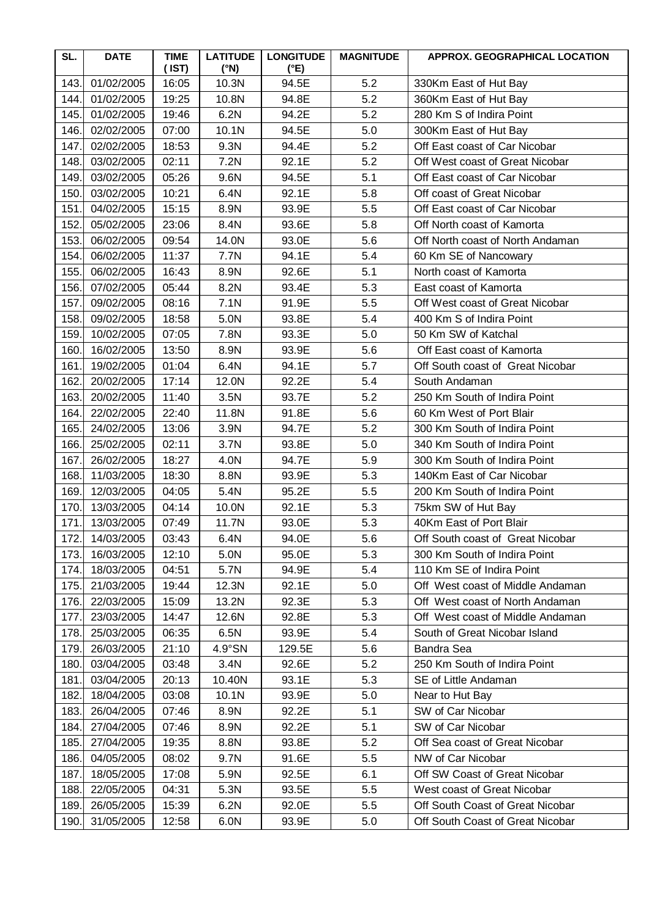| SL.  | <b>DATE</b> | <b>TIME</b><br>$($ IST $)$ | <b>LATITUDE</b><br>$(^{\circ}N)$ | <b>LONGITUDE</b><br>$(^{\circ}E)$ | <b>MAGNITUDE</b> | APPROX. GEOGRAPHICAL LOCATION    |
|------|-------------|----------------------------|----------------------------------|-----------------------------------|------------------|----------------------------------|
| 143. | 01/02/2005  | 16:05                      | 10.3N                            | 94.5E                             | 5.2              | 330Km East of Hut Bay            |
| 144. | 01/02/2005  | 19:25                      | 10.8N                            | 94.8E                             | 5.2              | 360Km East of Hut Bay            |
| 145  | 01/02/2005  | 19:46                      | 6.2N                             | 94.2E                             | 5.2              | 280 Km S of Indira Point         |
| 146. | 02/02/2005  | 07:00                      | 10.1N                            | 94.5E                             | 5.0              | 300Km East of Hut Bay            |
| 147. | 02/02/2005  | 18:53                      | 9.3N                             | 94.4E                             | 5.2              | Off East coast of Car Nicobar    |
| 148. | 03/02/2005  | 02:11                      | 7.2N                             | 92.1E                             | 5.2              | Off West coast of Great Nicobar  |
| 149. | 03/02/2005  | 05:26                      | 9.6N                             | 94.5E                             | 5.1              | Off East coast of Car Nicobar    |
| 150  | 03/02/2005  | 10:21                      | 6.4N                             | 92.1E                             | 5.8              | Off coast of Great Nicobar       |
| 151  | 04/02/2005  | 15:15                      | 8.9N                             | 93.9E                             | 5.5              | Off East coast of Car Nicobar    |
| 152. | 05/02/2005  | 23:06                      | 8.4N                             | 93.6E                             | 5.8              | Off North coast of Kamorta       |
| 153. | 06/02/2005  | 09:54                      | 14.0N                            | 93.0E                             | 5.6              | Off North coast of North Andaman |
| 154. | 06/02/2005  | 11:37                      | 7.7N                             | 94.1E                             | 5.4              | 60 Km SE of Nancowary            |
| 155  | 06/02/2005  | 16:43                      | 8.9N                             | 92.6E                             | 5.1              | North coast of Kamorta           |
| 156. | 07/02/2005  | 05:44                      | 8.2N                             | 93.4E                             | 5.3              | East coast of Kamorta            |
| 157. | 09/02/2005  | 08:16                      | 7.1N                             | 91.9E                             | 5.5              | Off West coast of Great Nicobar  |
| 158. | 09/02/2005  | 18:58                      | 5.0N                             | 93.8E                             | 5.4              | 400 Km S of Indira Point         |
| 159. | 10/02/2005  | 07:05                      | 7.8N                             | 93.3E                             | 5.0              | 50 Km SW of Katchal              |
| 160  | 16/02/2005  | 13:50                      | 8.9N                             | 93.9E                             | 5.6              | Off East coast of Kamorta        |
| 161. | 19/02/2005  | 01:04                      | 6.4N                             | 94.1E                             | 5.7              | Off South coast of Great Nicobar |
| 162. | 20/02/2005  | 17:14                      | 12.0N                            | 92.2E                             | 5.4              | South Andaman                    |
| 163. | 20/02/2005  | 11:40                      | 3.5N                             | 93.7E                             | 5.2              | 250 Km South of Indira Point     |
| 164. | 22/02/2005  | 22:40                      | 11.8N                            | 91.8E                             | 5.6              | 60 Km West of Port Blair         |
| 165  | 24/02/2005  | 13:06                      | 3.9N                             | 94.7E                             | 5.2              | 300 Km South of Indira Point     |
| 166. | 25/02/2005  | 02:11                      | 3.7N                             | 93.8E                             | 5.0              | 340 Km South of Indira Point     |
| 167. | 26/02/2005  | 18:27                      | 4.0N                             | 94.7E                             | 5.9              | 300 Km South of Indira Point     |
| 168. | 11/03/2005  | 18:30                      | 8.8N                             | 93.9E                             | 5.3              | 140Km East of Car Nicobar        |
| 169  | 12/03/2005  | 04:05                      | 5.4N                             | 95.2E                             | 5.5              | 200 Km South of Indira Point     |
| 170. | 13/03/2005  | 04:14                      | 10.0N                            | 92.1E                             | 5.3              | 75km SW of Hut Bay               |
| 171. | 13/03/2005  | 07:49                      | 11.7N                            | 93.0E                             | 5.3              | 40Km East of Port Blair          |
| 172. | 14/03/2005  | 03:43                      | 6.4N                             | 94.0E                             | 5.6              | Off South coast of Great Nicobar |
| 173. | 16/03/2005  | 12:10                      | 5.0N                             | 95.0E                             | 5.3              | 300 Km South of Indira Point     |
| 174. | 18/03/2005  | 04:51                      | 5.7N                             | 94.9E                             | 5.4              | 110 Km SE of Indira Point        |
| 175. | 21/03/2005  | 19:44                      | 12.3N                            | 92.1E                             | 5.0              | Off West coast of Middle Andaman |
| 176. | 22/03/2005  | 15:09                      | 13.2N                            | 92.3E                             | 5.3              | Off West coast of North Andaman  |
| 177  | 23/03/2005  | 14:47                      | 12.6N                            | 92.8E                             | 5.3              | Off West coast of Middle Andaman |
| 178. | 25/03/2005  | 06:35                      | 6.5N                             | 93.9E                             | 5.4              | South of Great Nicobar Island    |
| 179. | 26/03/2005  | 21:10                      | $4.9^{\circ}$ SN                 | 129.5E                            | 5.6              | <b>Bandra Sea</b>                |
| 180  | 03/04/2005  | 03:48                      | 3.4N                             | 92.6E                             | 5.2              | 250 Km South of Indira Point     |
| 181. | 03/04/2005  | 20:13                      | 10.40N                           | 93.1E                             | 5.3              | SE of Little Andaman             |
| 182. | 18/04/2005  | 03:08                      | 10.1N                            | 93.9E                             | 5.0              | Near to Hut Bay                  |
| 183. | 26/04/2005  | 07:46                      | 8.9N                             | 92.2E                             | 5.1              | SW of Car Nicobar                |
| 184. | 27/04/2005  | 07:46                      | 8.9N                             | 92.2E                             | 5.1              | SW of Car Nicobar                |
| 185. | 27/04/2005  | 19:35                      | 8.8N                             | 93.8E                             | 5.2              | Off Sea coast of Great Nicobar   |
| 186. | 04/05/2005  | 08:02                      | 9.7N                             | 91.6E                             | 5.5              | NW of Car Nicobar                |
| 187. | 18/05/2005  | 17:08                      | 5.9N                             | 92.5E                             | 6.1              | Off SW Coast of Great Nicobar    |
| 188. | 22/05/2005  | 04:31                      | 5.3N                             | 93.5E                             | 5.5              | West coast of Great Nicobar      |
| 189. | 26/05/2005  | 15:39                      | 6.2N                             | 92.0E                             | 5.5              | Off South Coast of Great Nicobar |
| 190. | 31/05/2005  | 12:58                      | 6.0N                             | 93.9E                             | 5.0              | Off South Coast of Great Nicobar |